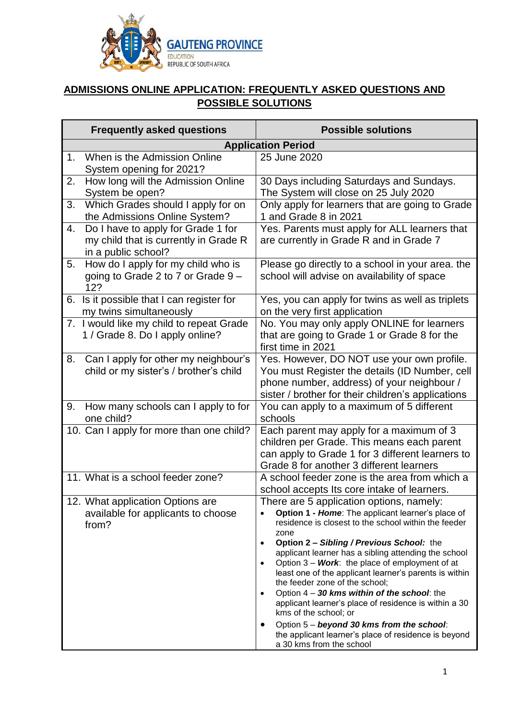

# **ADMISSIONS ONLINE APPLICATION: FREQUENTLY ASKED QUESTIONS AND POSSIBLE SOLUTIONS**

| <b>Frequently asked questions</b>                                                                        | <b>Possible solutions</b>                                                                                                                                                                                                                                                                                                                                                                                                                                                                                                                                                                                                                                                                                                                   |  |
|----------------------------------------------------------------------------------------------------------|---------------------------------------------------------------------------------------------------------------------------------------------------------------------------------------------------------------------------------------------------------------------------------------------------------------------------------------------------------------------------------------------------------------------------------------------------------------------------------------------------------------------------------------------------------------------------------------------------------------------------------------------------------------------------------------------------------------------------------------------|--|
| <b>Application Period</b>                                                                                |                                                                                                                                                                                                                                                                                                                                                                                                                                                                                                                                                                                                                                                                                                                                             |  |
| When is the Admission Online<br>1.<br>System opening for 2021?                                           | 25 June 2020                                                                                                                                                                                                                                                                                                                                                                                                                                                                                                                                                                                                                                                                                                                                |  |
| How long will the Admission Online<br>2.<br>System be open?                                              | 30 Days including Saturdays and Sundays.<br>The System will close on 25 July 2020                                                                                                                                                                                                                                                                                                                                                                                                                                                                                                                                                                                                                                                           |  |
| Which Grades should I apply for on<br>3.<br>the Admissions Online System?                                | Only apply for learners that are going to Grade<br>1 and Grade 8 in 2021                                                                                                                                                                                                                                                                                                                                                                                                                                                                                                                                                                                                                                                                    |  |
| Do I have to apply for Grade 1 for<br>4.<br>my child that is currently in Grade R<br>in a public school? | Yes. Parents must apply for ALL learners that<br>are currently in Grade R and in Grade 7                                                                                                                                                                                                                                                                                                                                                                                                                                                                                                                                                                                                                                                    |  |
| How do I apply for my child who is<br>5.<br>going to Grade 2 to 7 or Grade 9 -<br>12?                    | Please go directly to a school in your area. the<br>school will advise on availability of space                                                                                                                                                                                                                                                                                                                                                                                                                                                                                                                                                                                                                                             |  |
| Is it possible that I can register for<br>6.<br>my twins simultaneously                                  | Yes, you can apply for twins as well as triplets<br>on the very first application                                                                                                                                                                                                                                                                                                                                                                                                                                                                                                                                                                                                                                                           |  |
| 7. I would like my child to repeat Grade<br>1 / Grade 8. Do I apply online?                              | No. You may only apply ONLINE for learners<br>that are going to Grade 1 or Grade 8 for the<br>first time in 2021                                                                                                                                                                                                                                                                                                                                                                                                                                                                                                                                                                                                                            |  |
| Can I apply for other my neighbour's<br>8.<br>child or my sister's / brother's child                     | Yes. However, DO NOT use your own profile.<br>You must Register the details (ID Number, cell<br>phone number, address) of your neighbour /<br>sister / brother for their children's applications                                                                                                                                                                                                                                                                                                                                                                                                                                                                                                                                            |  |
| How many schools can I apply to for<br>9.<br>one child?                                                  | You can apply to a maximum of 5 different<br>schools                                                                                                                                                                                                                                                                                                                                                                                                                                                                                                                                                                                                                                                                                        |  |
| 10. Can I apply for more than one child?                                                                 | Each parent may apply for a maximum of 3<br>children per Grade. This means each parent<br>can apply to Grade 1 for 3 different learners to<br>Grade 8 for another 3 different learners                                                                                                                                                                                                                                                                                                                                                                                                                                                                                                                                                      |  |
| 11. What is a school feeder zone?                                                                        | A school feeder zone is the area from which a<br>school accepts Its core intake of learners.                                                                                                                                                                                                                                                                                                                                                                                                                                                                                                                                                                                                                                                |  |
| 12. What application Options are<br>available for applicants to choose<br>from?                          | There are 5 application options, namely:<br>Option 1 - Home: The applicant learner's place of<br>residence is closest to the school within the feeder<br>zone<br>Option 2 - Sibling / Previous School: the<br>$\bullet$<br>applicant learner has a sibling attending the school<br>Option $3 - Work$ : the place of employment of at<br>$\bullet$<br>least one of the applicant learner's parents is within<br>the feeder zone of the school;<br>Option $4 - 30$ kms within of the school: the<br>$\bullet$<br>applicant learner's place of residence is within a 30<br>kms of the school; or<br>Option 5 - beyond 30 kms from the school:<br>$\bullet$<br>the applicant learner's place of residence is beyond<br>a 30 kms from the school |  |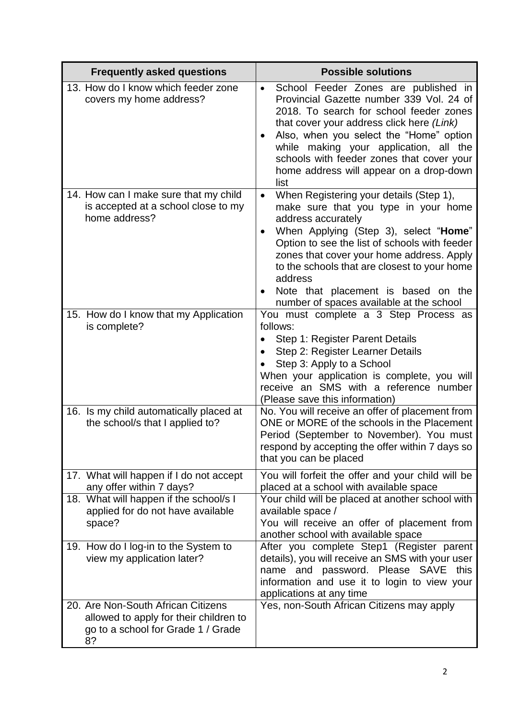| <b>Frequently asked questions</b>                                                                                                                            | <b>Possible solutions</b>                                                                                                                                                                                                                                                                                                                                                                                            |
|--------------------------------------------------------------------------------------------------------------------------------------------------------------|----------------------------------------------------------------------------------------------------------------------------------------------------------------------------------------------------------------------------------------------------------------------------------------------------------------------------------------------------------------------------------------------------------------------|
| 13. How do I know which feeder zone<br>covers my home address?                                                                                               | School Feeder Zones are published in<br>$\bullet$<br>Provincial Gazette number 339 Vol. 24 of<br>2018. To search for school feeder zones<br>that cover your address click here (Link)<br>Also, when you select the "Home" option<br>٠<br>while making your application, all the<br>schools with feeder zones that cover your<br>home address will appear on a drop-down<br>list                                      |
| 14. How can I make sure that my child<br>is accepted at a school close to my<br>home address?                                                                | When Registering your details (Step 1),<br>$\bullet$<br>make sure that you type in your home<br>address accurately<br>When Applying (Step 3), select "Home"<br>Option to see the list of schools with feeder<br>zones that cover your home address. Apply<br>to the schools that are closest to your home<br>address<br>Note that placement is based on the<br>$\bullet$<br>number of spaces available at the school |
| 15. How do I know that my Application<br>is complete?                                                                                                        | You must complete a 3 Step Process as<br>follows:<br>Step 1: Register Parent Details<br>Step 2: Register Learner Details<br>$\bullet$<br>Step 3: Apply to a School<br>When your application is complete, you will<br>receive an SMS with a reference number<br>(Please save this information)                                                                                                                        |
| 16. Is my child automatically placed at<br>the school/s that I applied to?                                                                                   | No. You will receive an offer of placement from<br>ONE or MORE of the schools in the Placement<br>Period (September to November). You must<br>respond by accepting the offer within 7 days so<br>that you can be placed                                                                                                                                                                                              |
| 17. What will happen if I do not accept<br>any offer within 7 days?<br>18. What will happen if the school/s I<br>applied for do not have available<br>space? | You will forfeit the offer and your child will be<br>placed at a school with available space<br>Your child will be placed at another school with<br>available space /<br>You will receive an offer of placement from<br>another school with available space                                                                                                                                                          |
| 19. How do I log-in to the System to<br>view my application later?                                                                                           | After you complete Step1 (Register parent<br>details), you will receive an SMS with your user<br>name and password. Please SAVE<br>this<br>information and use it to login to view your<br>applications at any time                                                                                                                                                                                                  |
| 20. Are Non-South African Citizens<br>allowed to apply for their children to<br>go to a school for Grade 1 / Grade<br>8?                                     | Yes, non-South African Citizens may apply                                                                                                                                                                                                                                                                                                                                                                            |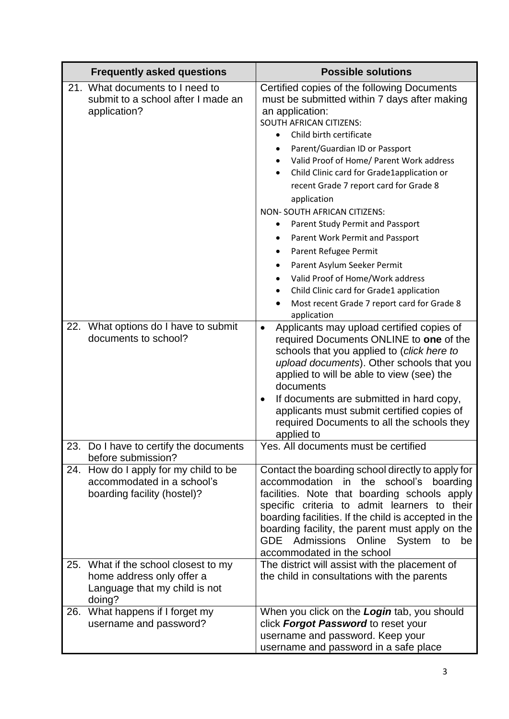|     | <b>Frequently asked questions</b>                                                                        | <b>Possible solutions</b>                                                                                                                                                                                                                                                                                                                                                                                                                                                                                                                                                                                                                                                                            |
|-----|----------------------------------------------------------------------------------------------------------|------------------------------------------------------------------------------------------------------------------------------------------------------------------------------------------------------------------------------------------------------------------------------------------------------------------------------------------------------------------------------------------------------------------------------------------------------------------------------------------------------------------------------------------------------------------------------------------------------------------------------------------------------------------------------------------------------|
|     | 21. What documents to I need to<br>submit to a school after I made an<br>application?                    | Certified copies of the following Documents<br>must be submitted within 7 days after making<br>an application:<br><b>SOUTH AFRICAN CITIZENS:</b><br>Child birth certificate<br>Parent/Guardian ID or Passport<br>Valid Proof of Home/ Parent Work address<br>Child Clinic card for Grade1application or<br>$\bullet$<br>recent Grade 7 report card for Grade 8<br>application<br>NON- SOUTH AFRICAN CITIZENS:<br>Parent Study Permit and Passport<br>٠<br>Parent Work Permit and Passport<br>Parent Refugee Permit<br>Parent Asylum Seeker Permit<br>٠<br>Valid Proof of Home/Work address<br>Child Clinic card for Grade1 application<br>Most recent Grade 7 report card for Grade 8<br>application |
| 22. | What options do I have to submit<br>documents to school?                                                 | Applicants may upload certified copies of<br>٠<br>required Documents ONLINE to one of the<br>schools that you applied to (click here to<br>upload documents). Other schools that you<br>applied to will be able to view (see) the<br>documents<br>If documents are submitted in hard copy,<br>٠<br>applicants must submit certified copies of<br>required Documents to all the schools they<br>applied to                                                                                                                                                                                                                                                                                            |
|     | 23. Do I have to certify the documents<br>before submission?                                             | Yes. All documents must be certified                                                                                                                                                                                                                                                                                                                                                                                                                                                                                                                                                                                                                                                                 |
| 24. | How do I apply for my child to be<br>accommodated in a school's<br>boarding facility (hostel)?           | Contact the boarding school directly to apply for<br>accommodation in the school's boarding<br>facilities. Note that boarding schools apply<br>specific criteria to admit learners to their<br>boarding facilities. If the child is accepted in the<br>boarding facility, the parent must apply on the<br>Admissions Online<br>System to<br><b>GDE</b><br>be<br>accommodated in the school                                                                                                                                                                                                                                                                                                           |
| 25. | What if the school closest to my<br>home address only offer a<br>Language that my child is not<br>doing? | The district will assist with the placement of<br>the child in consultations with the parents                                                                                                                                                                                                                                                                                                                                                                                                                                                                                                                                                                                                        |
| 26. | What happens if I forget my<br>username and password?                                                    | When you click on the Login tab, you should<br>click Forgot Password to reset your<br>username and password. Keep your<br>username and password in a safe place                                                                                                                                                                                                                                                                                                                                                                                                                                                                                                                                      |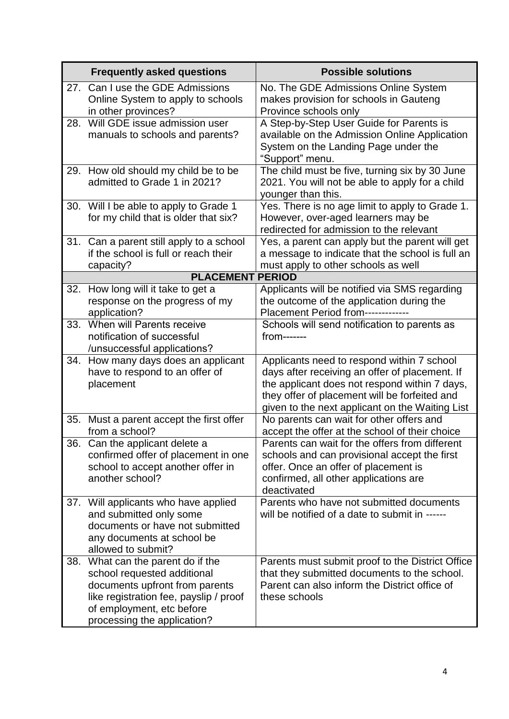|                         | <b>Frequently asked questions</b>                                                                                                                                                                    | <b>Possible solutions</b>                                                                                                                                                                                                                         |
|-------------------------|------------------------------------------------------------------------------------------------------------------------------------------------------------------------------------------------------|---------------------------------------------------------------------------------------------------------------------------------------------------------------------------------------------------------------------------------------------------|
| 27.                     | Can I use the GDE Admissions<br>Online System to apply to schools<br>in other provinces?                                                                                                             | No. The GDE Admissions Online System<br>makes provision for schools in Gauteng<br>Province schools only                                                                                                                                           |
| 28.                     | Will GDE issue admission user<br>manuals to schools and parents?                                                                                                                                     | A Step-by-Step User Guide for Parents is<br>available on the Admission Online Application<br>System on the Landing Page under the<br>"Support" menu.                                                                                              |
|                         | 29. How old should my child be to be<br>admitted to Grade 1 in 2021?                                                                                                                                 | The child must be five, turning six by 30 June<br>2021. You will not be able to apply for a child<br>younger than this.                                                                                                                           |
| 30.                     | Will I be able to apply to Grade 1<br>for my child that is older that six?                                                                                                                           | Yes. There is no age limit to apply to Grade 1.<br>However, over-aged learners may be<br>redirected for admission to the relevant                                                                                                                 |
| 31.                     | Can a parent still apply to a school<br>if the school is full or reach their<br>capacity?                                                                                                            | Yes, a parent can apply but the parent will get<br>a message to indicate that the school is full an<br>must apply to other schools as well                                                                                                        |
| <b>PLACEMENT PERIOD</b> |                                                                                                                                                                                                      |                                                                                                                                                                                                                                                   |
| 32.                     | How long will it take to get a<br>response on the progress of my<br>application?                                                                                                                     | Applicants will be notified via SMS regarding<br>the outcome of the application during the<br>Placement Period from------------                                                                                                                   |
| 33.                     | When will Parents receive<br>notification of successful<br>/unsuccessful applications?                                                                                                               | Schools will send notification to parents as<br>$from$ -------                                                                                                                                                                                    |
| 34.                     | How many days does an applicant<br>have to respond to an offer of<br>placement                                                                                                                       | Applicants need to respond within 7 school<br>days after receiving an offer of placement. If<br>the applicant does not respond within 7 days,<br>they offer of placement will be forfeited and<br>given to the next applicant on the Waiting List |
| 35.                     | Must a parent accept the first offer<br>from a school?                                                                                                                                               | No parents can wait for other offers and<br>accept the offer at the school of their choice                                                                                                                                                        |
| 36.                     | Can the applicant delete a<br>confirmed offer of placement in one<br>school to accept another offer in<br>another school?                                                                            | Parents can wait for the offers from different<br>schools and can provisional accept the first<br>offer. Once an offer of placement is<br>confirmed, all other applications are<br>deactivated                                                    |
| 37.                     | Will applicants who have applied<br>and submitted only some<br>documents or have not submitted<br>any documents at school be<br>allowed to submit?                                                   | Parents who have not submitted documents<br>will be notified of a date to submit in ------                                                                                                                                                        |
| 38.                     | What can the parent do if the<br>school requested additional<br>documents upfront from parents<br>like registration fee, payslip / proof<br>of employment, etc before<br>processing the application? | Parents must submit proof to the District Office<br>that they submitted documents to the school.<br>Parent can also inform the District office of<br>these schools                                                                                |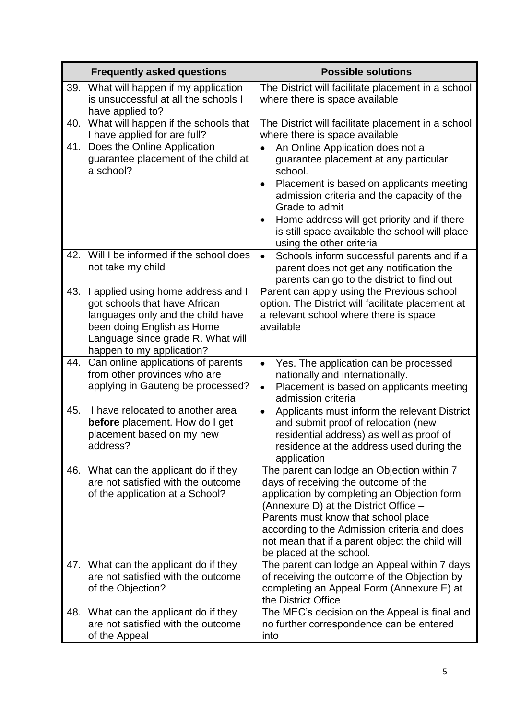|     | <b>Frequently asked questions</b>                                                                                                                                                                        | <b>Possible solutions</b>                                                                                                                                                                                                                                                                                                                                            |
|-----|----------------------------------------------------------------------------------------------------------------------------------------------------------------------------------------------------------|----------------------------------------------------------------------------------------------------------------------------------------------------------------------------------------------------------------------------------------------------------------------------------------------------------------------------------------------------------------------|
| 39. | What will happen if my application<br>is unsuccessful at all the schools I<br>have applied to?                                                                                                           | The District will facilitate placement in a school<br>where there is space available                                                                                                                                                                                                                                                                                 |
| 40. | What will happen if the schools that<br>I have applied for are full?                                                                                                                                     | The District will facilitate placement in a school<br>where there is space available                                                                                                                                                                                                                                                                                 |
| 41. | Does the Online Application<br>guarantee placement of the child at<br>a school?                                                                                                                          | An Online Application does not a<br>$\bullet$<br>guarantee placement at any particular<br>school.<br>Placement is based on applicants meeting<br>$\bullet$<br>admission criteria and the capacity of the<br>Grade to admit<br>Home address will get priority and if there<br>$\bullet$<br>is still space available the school will place<br>using the other criteria |
| 42. | Will I be informed if the school does<br>not take my child                                                                                                                                               | Schools inform successful parents and if a<br>$\bullet$<br>parent does not get any notification the<br>parents can go to the district to find out                                                                                                                                                                                                                    |
| 43. | I applied using home address and I<br>got schools that have African<br>languages only and the child have<br>been doing English as Home<br>Language since grade R. What will<br>happen to my application? | Parent can apply using the Previous school<br>option. The District will facilitate placement at<br>a relevant school where there is space<br>available                                                                                                                                                                                                               |
| 44. | Can online applications of parents<br>from other provinces who are<br>applying in Gauteng be processed?                                                                                                  | Yes. The application can be processed<br>$\bullet$<br>nationally and internationally.<br>Placement is based on applicants meeting<br>$\bullet$<br>admission criteria                                                                                                                                                                                                 |
| 45. | I have relocated to another area<br><b>before</b> placement. How do I get<br>placement based on my new<br>address?                                                                                       | Applicants must inform the relevant District<br>$\bullet$<br>and submit proof of relocation (new<br>residential address) as well as proof of<br>residence at the address used during the<br>application                                                                                                                                                              |
| 46. | What can the applicant do if they<br>are not satisfied with the outcome<br>of the application at a School?                                                                                               | The parent can lodge an Objection within 7<br>days of receiving the outcome of the<br>application by completing an Objection form<br>(Annexure D) at the District Office -<br>Parents must know that school place<br>according to the Admission criteria and does<br>not mean that if a parent object the child will<br>be placed at the school.                     |
| 47. | What can the applicant do if they<br>are not satisfied with the outcome<br>of the Objection?                                                                                                             | The parent can lodge an Appeal within 7 days<br>of receiving the outcome of the Objection by<br>completing an Appeal Form (Annexure E) at<br>the District Office                                                                                                                                                                                                     |
| 48. | What can the applicant do if they<br>are not satisfied with the outcome<br>of the Appeal                                                                                                                 | The MEC's decision on the Appeal is final and<br>no further correspondence can be entered<br>into                                                                                                                                                                                                                                                                    |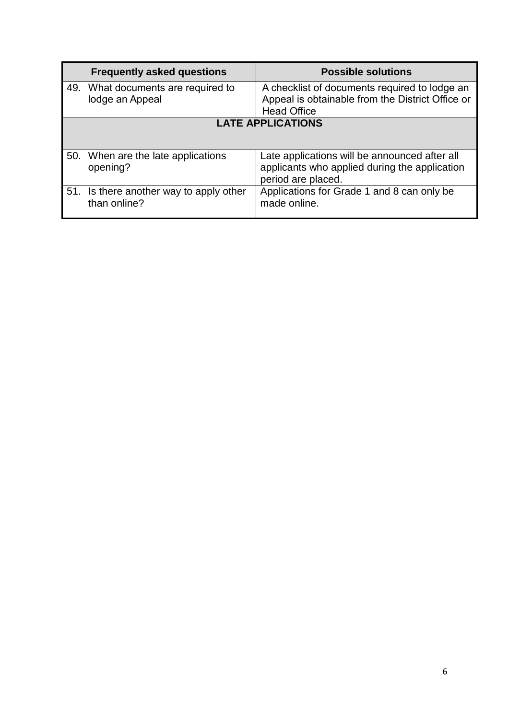|                          | <b>Frequently asked questions</b>                   | <b>Possible solutions</b>                                                                                               |
|--------------------------|-----------------------------------------------------|-------------------------------------------------------------------------------------------------------------------------|
| 49.                      | What documents are required to<br>lodge an Appeal   | A checklist of documents required to lodge an<br>Appeal is obtainable from the District Office or<br><b>Head Office</b> |
| <b>LATE APPLICATIONS</b> |                                                     |                                                                                                                         |
|                          | 50. When are the late applications<br>opening?      | Late applications will be announced after all<br>applicants who applied during the application<br>period are placed.    |
| 51.                      | Is there another way to apply other<br>than online? | Applications for Grade 1 and 8 can only be<br>made online.                                                              |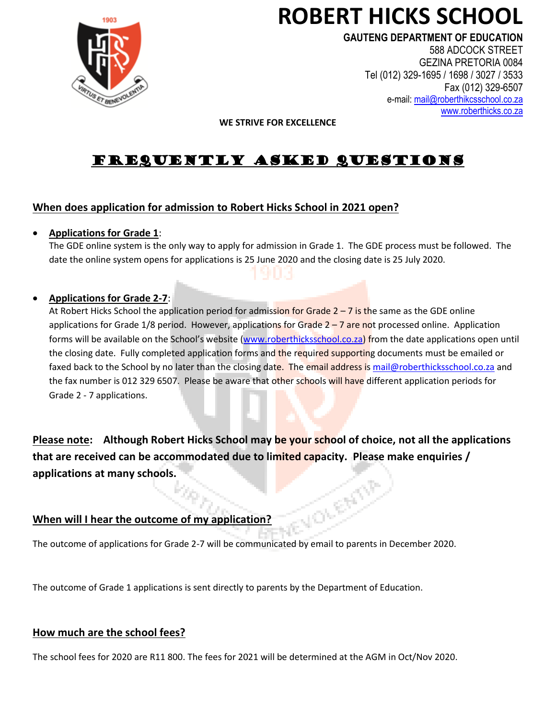

# **ROBERT HICKS SCHOOL**

**GAUTENG DEPARTMENT OF EDUCATION**

588 ADCOCK STREET GEZINA PRETORIA 0084 Tel (012) 329-1695 / 1698 / 3027 / 3533 Fax (012) 329-6507 e-mail: [mail@roberthikcsschool.co.za](mailto:mail@roberthikcsschool.co.za) [www.roberthicks.co.za](http://www.roberthicks.co.za/)

#### **WE STRIVE FOR EXCELLENCE**

# FREQUENTLY ASKED QUESTIONS

# **When does application for admission to Robert Hicks School in 2021 open?**

#### • **Applications for Grade 1**:

The GDE online system is the only way to apply for admission in Grade 1. The GDE process must be followed. The date the online system opens for applications is 25 June 2020 and the closing date is 25 July 2020.

### • **Applications for Grade 2-7**:

At Robert Hicks School the application period for admission for Grade 2 – 7 is the same as the GDE online applications for Grade 1/8 period. However, applications for Grade  $2 - 7$  are not processed online. Application forms will be available on the School's website ([www.roberthicksschool.co.za\)](http://www.roberthicksschool.co.za/) from the date applications open until the closing date. Fully completed application forms and the required supporting documents must be emailed or faxed back to the School by no later than the closing date. The email address i[s mail@roberthicksschool.co.za](mailto:mail@roberthicksschool.co.za) and the fax number is 012 329 6507. Please be aware that other schools will have different application periods for Grade 2 - 7 applications.

**Please note: Although Robert Hicks School may be your school of choice, not all the applications that are received can be accommodated due to limited capacity. Please make enquiries / applications at many schools. REA** 

# **When will I hear the outcome of my application?**

The outcome of applications for Grade 2-7 will be communicated by email to parents in December 2020.

The outcome of Grade 1 applications is sent directly to parents by the Department of Education.

# **How much are the school fees?**

The school fees for 2020 are R11 800. The fees for 2021 will be determined at the AGM in Oct/Nov 2020.